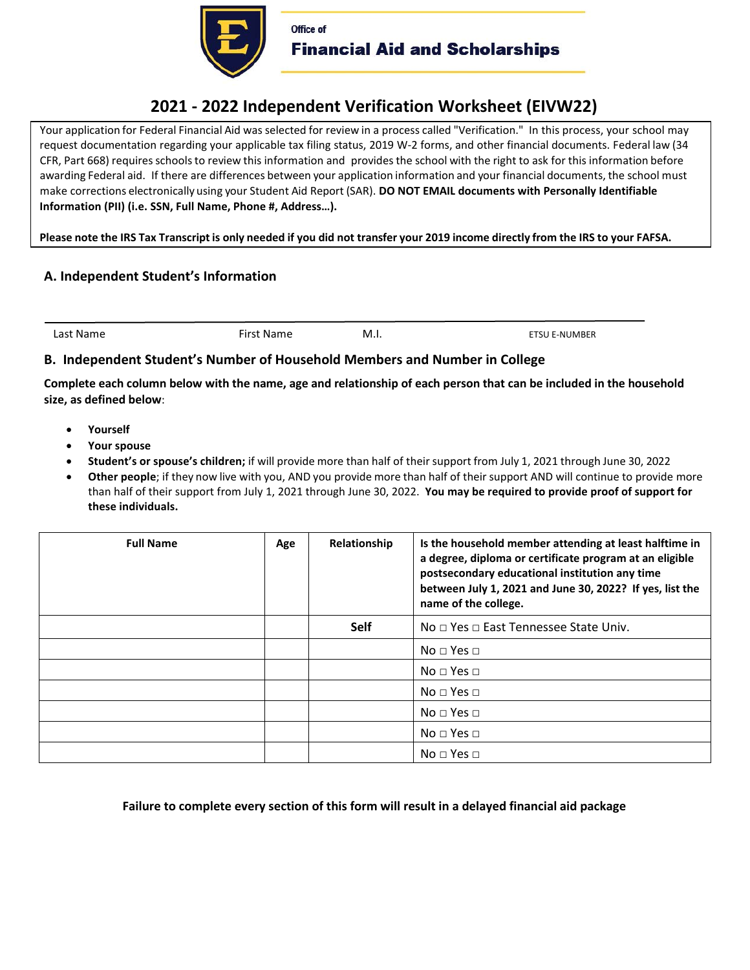

# **2021 - 2022 Independent Verification Worksheet (EIVW22)**

Your application for Federal Financial Aid was selected for review in a process called "Verification." In this process, your school may request documentation regarding your applicable tax filing status, 2019 W-2 forms, and other financial documents. Federal law (34 CFR, Part 668) requires schools to review this information and provides the school with the right to ask for this information before awarding Federal aid. If there are differences between your application information and your financial documents, the school must make corrections electronically using your Student Aid Report (SAR). **DO NOT EMAIL documents with Personally Identifiable Information (PII) (i.e. SSN, Full Name, Phone #, Address…).** 

**Please note the IRS Tax Transcript is only needed if you did not transfer your 2019 income directly from the IRS to your FAFSA.** 

## **A. Independent Student's Information**

Last Name First Name M.I. Example 20 and Table 1 and Table 1 and Table 1 and Table 1 and Table 1 and Table 1 and Table 1 and Table 1 and Table 1 and Table 1 and Table 1 and Table 1 and Table 1 and Table 1 and Table 1 and T

### **B. Independent Student's Number of Household Members and Number in College**

**Complete each column below with the name, age and relationship of each person that can be included in the household size, as defined below**:

- **Yourself**
- **Your spouse**
- **Student's or spouse's children;** if will provide more than half of their support from July 1, 2021 through June 30, 2022
- **Other people**; if they now live with you, AND you provide more than half of their support AND will continue to provide more than half of their support from July 1, 2021 through June 30, 2022. **You may be required to provide proof of support for these individuals.**

| <b>Full Name</b> | Age | Relationship | Is the household member attending at least halftime in<br>a degree, diploma or certificate program at an eligible<br>postsecondary educational institution any time<br>between July 1, 2021 and June 30, 2022? If yes, list the<br>name of the college. |
|------------------|-----|--------------|---------------------------------------------------------------------------------------------------------------------------------------------------------------------------------------------------------------------------------------------------------|
|                  |     | <b>Self</b>  | No □ Yes □ East Tennessee State Univ.                                                                                                                                                                                                                   |
|                  |     |              | $No \square Yes \square$                                                                                                                                                                                                                                |
|                  |     |              | No $\sqcap$ Yes $\sqcap$                                                                                                                                                                                                                                |
|                  |     |              | $No \square Yes \square$                                                                                                                                                                                                                                |
|                  |     |              | $No \square Yes \square$                                                                                                                                                                                                                                |
|                  |     |              | $No \square Yes \square$                                                                                                                                                                                                                                |
|                  |     |              | $No \square Yes \square$                                                                                                                                                                                                                                |

**Failure to complete every section of this form will result in a delayed financial aid package**